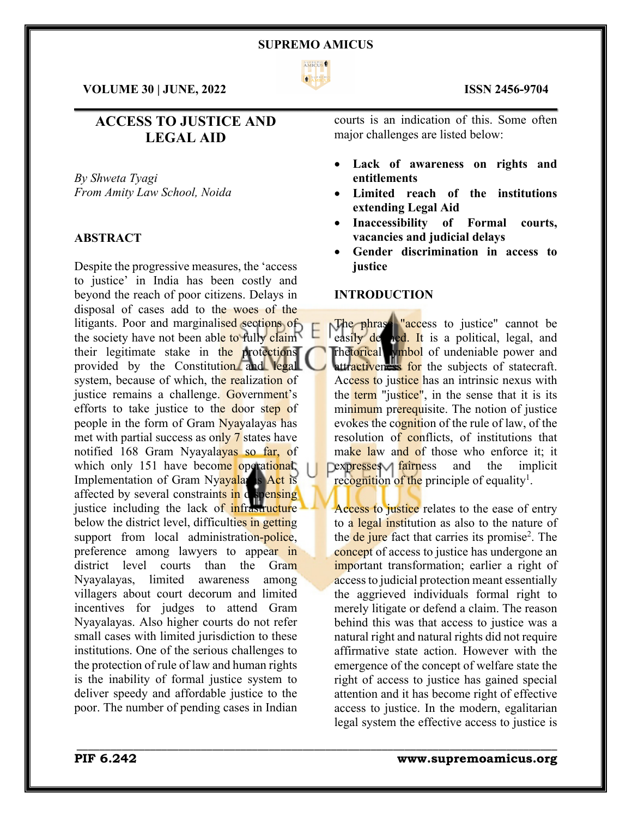

 $\mathcal{L}_\mathcal{L} = \mathcal{L}_\mathcal{L} = \mathcal{L}_\mathcal{L} = \mathcal{L}_\mathcal{L} = \mathcal{L}_\mathcal{L} = \mathcal{L}_\mathcal{L} = \mathcal{L}_\mathcal{L} = \mathcal{L}_\mathcal{L} = \mathcal{L}_\mathcal{L} = \mathcal{L}_\mathcal{L} = \mathcal{L}_\mathcal{L} = \mathcal{L}_\mathcal{L} = \mathcal{L}_\mathcal{L} = \mathcal{L}_\mathcal{L} = \mathcal{L}_\mathcal{L} = \mathcal{L}_\mathcal{L} = \mathcal{L}_\mathcal{L}$ 

\_\_\_\_\_\_\_\_\_\_\_\_\_\_\_\_\_\_\_\_\_\_\_\_\_\_\_\_\_\_\_\_\_\_\_\_\_\_\_\_\_\_\_\_\_\_\_\_\_\_\_\_\_\_\_\_\_\_\_\_\_\_\_\_\_\_\_\_\_\_\_\_\_\_\_\_\_\_\_\_\_\_\_\_\_

**VOLUME 30 | JUNE, 2022 ISSN 2456-9704**

# **ACCESS TO JUSTICE AND LEGAL AID**

*By Shweta Tyagi From Amity Law School, Noida*

# **ABSTRACT**

Despite the progressive measures, the 'access to justice' in India has been costly and beyond the reach of poor citizens. Delays in disposal of cases add to the woes of the litigants. Poor and marginalised sections of the society have not been able to fully claim their legitimate stake in the protections provided by the Constitution and legal system, because of which, the realization of justice remains a challenge. Government's efforts to take justice to the door step of people in the form of Gram Nyayalayas has met with partial success as only 7 states have notified 168 Gram Nyayalayas so far, of which only 151 have become operational. Implementation of Gram Nyayalayas Act is affected by several constraints in dispensing justice including the lack of infrastructure below the district level, difficulties in getting support from local administration-police, preference among lawyers to appear in district level courts than the Gram Nyayalayas, limited awareness among villagers about court decorum and limited incentives for judges to attend Gram Nyayalayas. Also higher courts do not refer small cases with limited jurisdiction to these institutions. One of the serious challenges to the protection of rule of law and human rights is the inability of formal justice system to deliver speedy and affordable justice to the poor. The number of pending cases in Indian

courts is an indication of this. Some often major challenges are listed below:

- Lack of awareness on rights and **entitlements**
- **Limited reach of the institutions extending Legal Aid**
- **Inaccessibility of Formal courts, vacancies and judicial delays**
- **Gender discrimination in access to justice**

## **INTRODUCTION**

The phrase "access to justice" cannot be easily de hed. It is a political, legal, and rhetorical ymbol of undeniable power and attractiveness for the subjects of statecraft. Access to justice has an intrinsic nexus with the term "justice", in the sense that it is its minimum prerequisite. The notion of justice evokes the cognition of the rule of law, of the resolution of conflicts, of institutions that make law and of those who enforce it; it Dexpresses fairness and the implicit recognition of the principle of equality<sup>1</sup>.

Access to justice relates to the ease of entry to a legal institution as also to the nature of the de jure fact that carries its promise<sup>2</sup>. The concept of access to justice has undergone an important transformation; earlier a right of access to judicial protection meant essentially the aggrieved individuals formal right to merely litigate or defend a claim. The reason behind this was that access to justice was a natural right and natural rights did not require affirmative state action. However with the emergence of the concept of welfare state the right of access to justice has gained special attention and it has become right of effective access to justice. In the modern, egalitarian legal system the effective access to justice is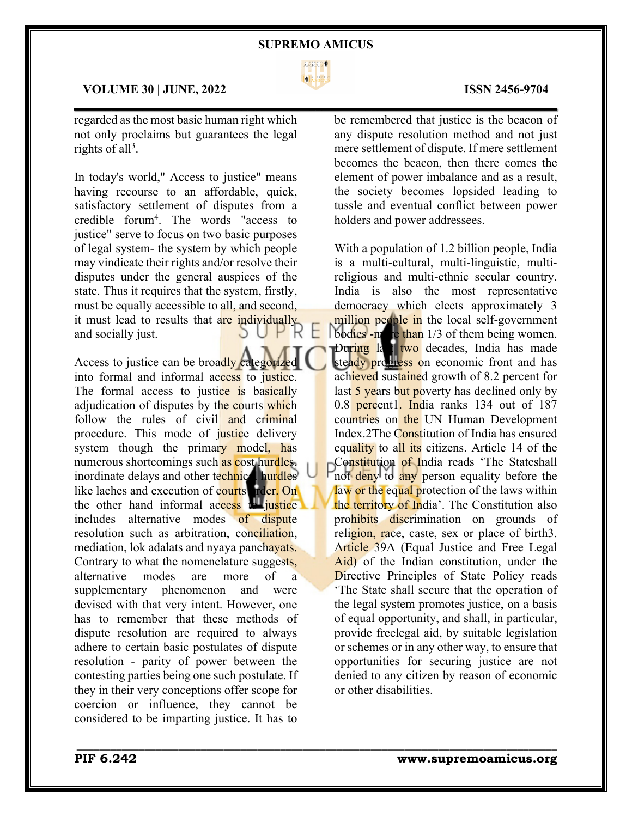

 $\mathcal{L}_\mathcal{L} = \mathcal{L}_\mathcal{L} = \mathcal{L}_\mathcal{L} = \mathcal{L}_\mathcal{L} = \mathcal{L}_\mathcal{L} = \mathcal{L}_\mathcal{L} = \mathcal{L}_\mathcal{L} = \mathcal{L}_\mathcal{L} = \mathcal{L}_\mathcal{L} = \mathcal{L}_\mathcal{L} = \mathcal{L}_\mathcal{L} = \mathcal{L}_\mathcal{L} = \mathcal{L}_\mathcal{L} = \mathcal{L}_\mathcal{L} = \mathcal{L}_\mathcal{L} = \mathcal{L}_\mathcal{L} = \mathcal{L}_\mathcal{L}$ 

\_\_\_\_\_\_\_\_\_\_\_\_\_\_\_\_\_\_\_\_\_\_\_\_\_\_\_\_\_\_\_\_\_\_\_\_\_\_\_\_\_\_\_\_\_\_\_\_\_\_\_\_\_\_\_\_\_\_\_\_\_\_\_\_\_\_\_\_\_\_\_\_\_\_\_\_\_\_\_\_\_\_\_\_\_

## **VOLUME 30 | JUNE, 2022 ISSN 2456-9704**

regarded as the most basic human right which not only proclaims but guarantees the legal rights of all<sup>3</sup>.

In today's world," Access to justice" means having recourse to an affordable, quick, satisfactory settlement of disputes from a credible forum4 . The words "access to justice" serve to focus on two basic purposes of legal system- the system by which people may vindicate their rights and/or resolve their disputes under the general auspices of the state. Thus it requires that the system, firstly, must be equally accessible to all, and second, it must lead to results that are individually<br>and socially just. and socially just.

Access to justice can be broadly categorized into formal and informal access to justice. The formal access to justice is basically adjudication of disputes by the courts which follow the rules of civil and criminal procedure. This mode of justice delivery system though the primary model, has numerous shortcomings such as cost hurdles, inordinate delays and other technical hurdles like laches and execution of courts rder. On the other hand informal access the justice includes alternative modes of dispute resolution such as arbitration, conciliation, mediation, lok adalats and nyaya panchayats. Contrary to what the nomenclature suggests, alternative modes are more of a supplementary phenomenon and were devised with that very intent. However, one has to remember that these methods of dispute resolution are required to always adhere to certain basic postulates of dispute resolution - parity of power between the contesting parties being one such postulate. If they in their very conceptions offer scope for coercion or influence, they cannot be considered to be imparting justice. It has to

be remembered that justice is the beacon of any dispute resolution method and not just mere settlement of dispute. If mere settlement becomes the beacon, then there comes the element of power imbalance and as a result, the society becomes lopsided leading to tussle and eventual conflict between power holders and power addressees.

With a population of 1.2 billion people, India is a multi-cultural, multi-linguistic, multireligious and multi-ethnic secular country. India is also the most representative democracy which elects approximately 3 million people in the local self-government bodies -more than 1/3 of them being women. During last two decades, India has made steady progress on economic front and has achieved sustained growth of 8.2 percent for last 5 years but poverty has declined only by 0.8 percent1. India ranks 134 out of 187 countries on the UN Human Development Index.2The Constitution of India has ensured equality to all its citizens. Article 14 of the Constitution of India reads 'The Stateshall not deny to any person equality before the law or the equal protection of the laws within the territory of India'. The Constitution also prohibits discrimination on grounds of religion, race, caste, sex or place of birth3. Article 39A (Equal Justice and Free Legal Aid) of the Indian constitution, under the Directive Principles of State Policy reads 'The State shall secure that the operation of the legal system promotes justice, on a basis of equal opportunity, and shall, in particular, provide freelegal aid, by suitable legislation or schemes or in any other way, to ensure that opportunities for securing justice are not denied to any citizen by reason of economic or other disabilities.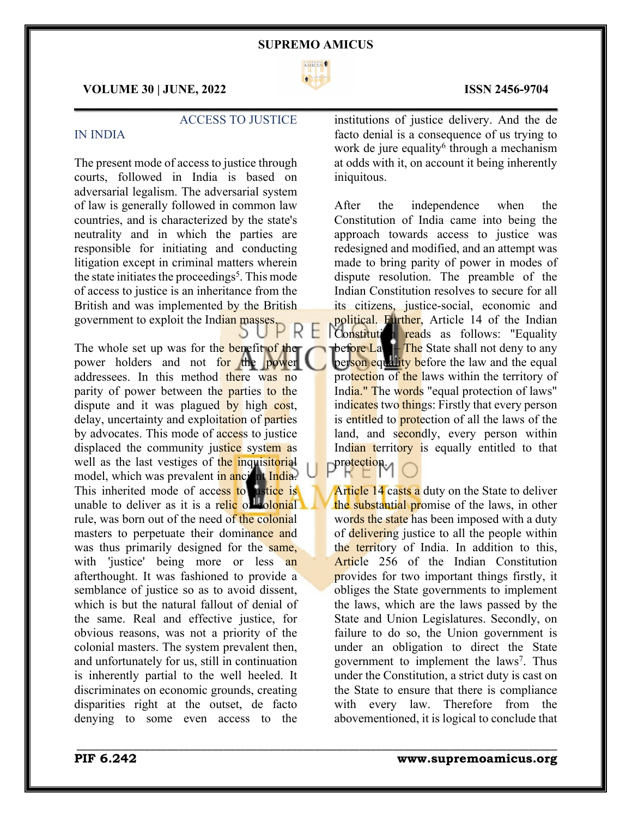### **SUPREMO AMICUS**



 $\mathcal{L}_\mathcal{L} = \mathcal{L}_\mathcal{L} = \mathcal{L}_\mathcal{L} = \mathcal{L}_\mathcal{L} = \mathcal{L}_\mathcal{L} = \mathcal{L}_\mathcal{L} = \mathcal{L}_\mathcal{L} = \mathcal{L}_\mathcal{L} = \mathcal{L}_\mathcal{L} = \mathcal{L}_\mathcal{L} = \mathcal{L}_\mathcal{L} = \mathcal{L}_\mathcal{L} = \mathcal{L}_\mathcal{L} = \mathcal{L}_\mathcal{L} = \mathcal{L}_\mathcal{L} = \mathcal{L}_\mathcal{L} = \mathcal{L}_\mathcal{L}$ 

\_\_\_\_\_\_\_\_\_\_\_\_\_\_\_\_\_\_\_\_\_\_\_\_\_\_\_\_\_\_\_\_\_\_\_\_\_\_\_\_\_\_\_\_\_\_\_\_\_\_\_\_\_\_\_\_\_\_\_\_\_\_\_\_\_\_\_\_\_\_\_\_\_\_\_\_\_\_\_\_\_\_\_\_\_

## **VOLUME 30 | JUNE, 2022 ISSN 2456-9704**

## ACCESS TO JUSTICE

## IN INDIA

The present mode of access to justice through courts, followed in India is based on adversarial legalism. The adversarial system of law is generally followed in common law countries, and is characterized by the state's neutrality and in which the parties are responsible for initiating and conducting litigation except in criminal matters wherein the state initiates the proceedings<sup>5</sup>. This mode of access to justice is an inheritance from the British and was implemented by the British government to exploit the Indian masses.

The whole set up was for the benefit of the power holders and not for the power addressees. In this method there was no parity of power between the parties to the dispute and it was plagued by high cost, delay, uncertainty and exploitation of parties by advocates. This mode of access to justice displaced the community justice system as well as the last vestiges of the inquisitorial model, which was prevalent in ancient India. This inherited mode of access to ustice is unable to deliver as it is a relic of colonial rule, was born out of the need of the colonial masters to perpetuate their dominance and was thus primarily designed for the same, with 'justice' being more or less an afterthought. It was fashioned to provide a semblance of justice so as to avoid dissent, which is but the natural fallout of denial of the same. Real and effective justice, for obvious reasons, was not a priority of the colonial masters. The system prevalent then, and unfortunately for us, still in continuation is inherently partial to the well heeled. It discriminates on economic grounds, creating disparities right at the outset, de facto denying to some even access to the

institutions of justice delivery. And the de facto denial is a consequence of us trying to work de jure equality<sup>6</sup> through a mechanism at odds with it, on account it being inherently iniquitous.

After the independence when the Constitution of India came into being the approach towards access to justice was redesigned and modified, and an attempt was made to bring parity of power in modes of dispute resolution. The preamble of the Indian Constitution resolves to secure for all its citizens, justice-social, economic and political. Further, Article 14 of the Indian Constitution reads as follows: "Equality bef<mark>ore Law – The</mark> State shall not deny to any person equality before the law and the equal protection of the laws within the territory of India." The words "equal protection of laws" indicates two things: Firstly that every person is entitled to **protection** of all the laws of the land, and secondly, every person within Indian territory is equally entitled to that protection.

Article 14 casts a duty on the State to deliver the substantial promise of the laws, in other words the state has been imposed with a duty of delivering justice to all the people within the territory of India. In addition to this, Article 256 of the Indian Constitution provides for two important things firstly, it obliges the State governments to implement the laws, which are the laws passed by the State and Union Legislatures. Secondly, on failure to do so, the Union government is under an obligation to direct the State government to implement the laws<sup>7</sup>. Thus under the Constitution, a strict duty is cast on the State to ensure that there is compliance with every law. Therefore from the abovementioned, it is logical to conclude that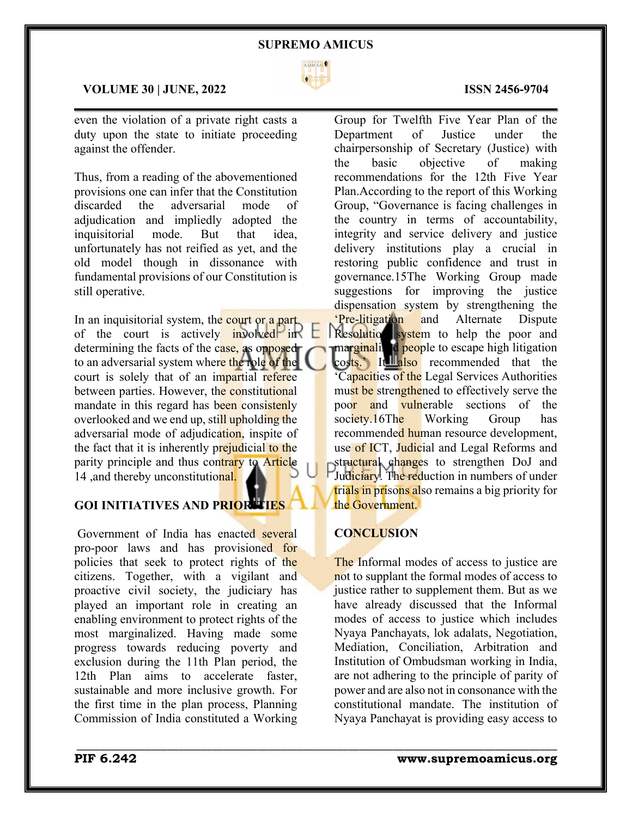

 $\mathcal{L}_\mathcal{L} = \mathcal{L}_\mathcal{L} = \mathcal{L}_\mathcal{L} = \mathcal{L}_\mathcal{L} = \mathcal{L}_\mathcal{L} = \mathcal{L}_\mathcal{L} = \mathcal{L}_\mathcal{L} = \mathcal{L}_\mathcal{L} = \mathcal{L}_\mathcal{L} = \mathcal{L}_\mathcal{L} = \mathcal{L}_\mathcal{L} = \mathcal{L}_\mathcal{L} = \mathcal{L}_\mathcal{L} = \mathcal{L}_\mathcal{L} = \mathcal{L}_\mathcal{L} = \mathcal{L}_\mathcal{L} = \mathcal{L}_\mathcal{L}$ 

# **VOLUME 30 | JUNE, 2022 ISSN 2456-9704**

even the violation of a private right casts a duty upon the state to initiate proceeding against the offender.

Thus, from a reading of the abovementioned provisions one can infer that the Constitution discarded the adversarial mode of adjudication and impliedly adopted the inquisitorial mode. But that idea, unfortunately has not reified as yet, and the old model though in dissonance with fundamental provisions of our Constitution is still operative.

In an inquisitorial system, the court or a part of the court is actively involved in determining the facts of the case, as opposed to an adversarial system where the role of the court is solely that of an impartial referee between parties. However, the constitutional mandate in this regard has been consistenly overlooked and we end up, still upholding the adversarial mode of adjudication, inspite of the fact that it is inherently prejudicial to the parity principle and thus contrary to Article 14, and thereby unconstitutional.

# **GOI INITIATIVES AND PRIORITIES**

Government of India has enacted several pro-poor laws and has provisioned for policies that seek to protect rights of the citizens. Together, with a vigilant and proactive civil society, the judiciary has played an important role in creating an enabling environment to protect rights of the most marginalized. Having made some progress towards reducing poverty and exclusion during the 11th Plan period, the 12th Plan aims to accelerate faster, sustainable and more inclusive growth. For the first time in the plan process, Planning Commission of India constituted a Working Group for Twelfth Five Year Plan of the Department of Justice under the chairpersonship of Secretary (Justice) with the basic objective of making recommendations for the 12th Five Year Plan.According to the report of this Working Group, "Governance is facing challenges in the country in terms of accountability, integrity and service delivery and justice delivery institutions play a crucial in restoring public confidence and trust in governance.15The Working Group made suggestions for improving the justice dispensation system by strengthening the 'Pre-litigation and Alternate Dispute Resolution system to help the poor and marginalized people to escape high litigation costs.' It llalso recommended that the Capacities of the Legal Services Authorities must be strengthened to effectively serve the poor and vulnerable sections of the society.16The Working Group has recommended human resource development, use of ICT, Judicial and Legal Reforms and structural changes to strengthen DoJ and Judiciary. The reduction in numbers of under trials in prisons also remains a big priority for the Government.

# **CONCLUSION**

The Informal modes of access to justice are not to supplant the formal modes of access to justice rather to supplement them. But as we have already discussed that the Informal modes of access to justice which includes Nyaya Panchayats, lok adalats, Negotiation, Mediation, Conciliation, Arbitration and Institution of Ombudsman working in India, are not adhering to the principle of parity of power and are also not in consonance with the constitutional mandate. The institution of Nyaya Panchayat is providing easy access to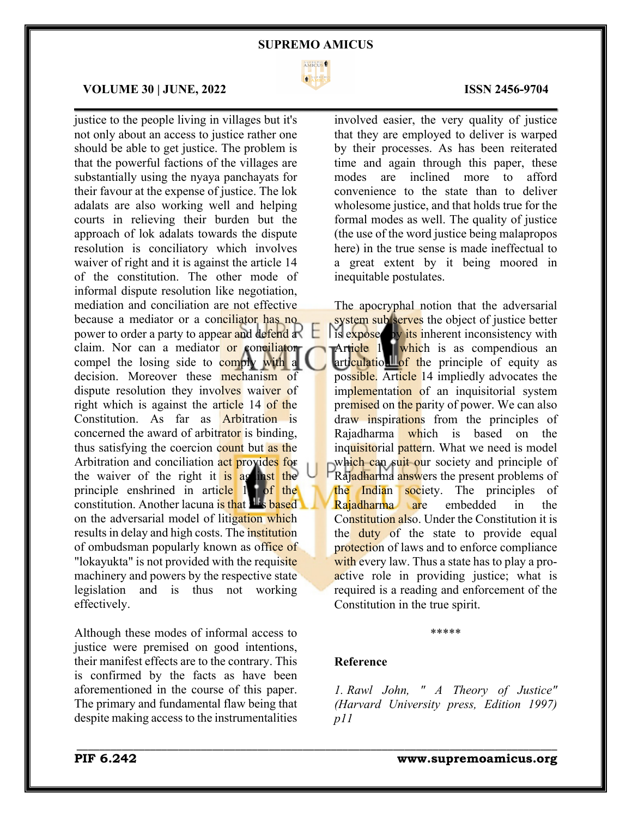### **SUPREMO AMICUS**



 $\mathcal{L}_\mathcal{L} = \mathcal{L}_\mathcal{L} = \mathcal{L}_\mathcal{L} = \mathcal{L}_\mathcal{L} = \mathcal{L}_\mathcal{L} = \mathcal{L}_\mathcal{L} = \mathcal{L}_\mathcal{L} = \mathcal{L}_\mathcal{L} = \mathcal{L}_\mathcal{L} = \mathcal{L}_\mathcal{L} = \mathcal{L}_\mathcal{L} = \mathcal{L}_\mathcal{L} = \mathcal{L}_\mathcal{L} = \mathcal{L}_\mathcal{L} = \mathcal{L}_\mathcal{L} = \mathcal{L}_\mathcal{L} = \mathcal{L}_\mathcal{L}$ 

## **VOLUME 30 | JUNE, 2022 ISSN 2456-9704**

justice to the people living in villages but it's not only about an access to justice rather one should be able to get justice. The problem is that the powerful factions of the villages are substantially using the nyaya panchayats for their favour at the expense of justice. The lok adalats are also working well and helping courts in relieving their burden but the approach of lok adalats towards the dispute resolution is conciliatory which involves waiver of right and it is against the article 14 of the constitution. The other mode of informal dispute resolution like negotiation, mediation and conciliation are not effective because a mediator or a conciliator has no power to order a party to appear and defend a claim. Nor can a mediator or conciliator compel the losing side to comply with a decision. Moreover these **mechanism** of dispute resolution they involves waiver of right which is against the article 14 of the Constitution. As far as Arbitration is concerned the award of arbitrator is binding, thus satisfying the coercion count but as the Arbitration and conciliation act provides for the waiver of the right it is against the principle enshrined in article  $1 +$  of the  $\frac{1}{2}$  constitution. Another lacuna is that  $\frac{1}{2}$  is based on the adversarial model of litigation which results in delay and high costs. The institution of ombudsman popularly known as office of "lokayukta" is not provided with the requisite" machinery and powers by the respective state legislation and is thus not working effectively.

Although these modes of informal access to justice were premised on good intentions, their manifest effects are to the contrary. This is confirmed by the facts as have been aforementioned in the course of this paper. The primary and fundamental flaw being that despite making access to the instrumentalities

involved easier, the very quality of justice that they are employed to deliver is warped by their processes. As has been reiterated time and again through this paper, these modes are inclined more to afford convenience to the state than to deliver wholesome justice, and that holds true for the formal modes as well. The quality of justice (the use of the word justice being malapropos here) in the true sense is made ineffectual to a great extent by it being moored in inequitable postulates.

The apocryphal notion that the adversarial system sub serves the object of justice better is exposed by its inherent inconsistency with Article 14, which is as compendious an articulation  $\frac{d}{dt}$  of the principle of equity as possible. Article 14 impliedly advocates the implementation of an inquisitorial system premised on the parity of power. We can also draw inspirations from the principles of Rajadharma which is based on the inquisitorial pattern. What we need is model which can suit our society and principle of Rajadharma answers the present problems of the Indian society. The principles of Rajadharma are embedded in the Constitution also. Under the Constitution it is the duty of the state to provide equal protection of laws and to enforce compliance with every law. Thus a state has to play a proactive role in providing justice; what is required is a reading and enforcement of the Constitution in the true spirit.

## **Reference**

\_\_\_\_\_\_\_\_\_\_\_\_\_\_\_\_\_\_\_\_\_\_\_\_\_\_\_\_\_\_\_\_\_\_\_\_\_\_\_\_\_\_\_\_\_\_\_\_\_\_\_\_\_\_\_\_\_\_\_\_\_\_\_\_\_\_\_\_\_\_\_\_\_\_\_\_\_\_\_\_\_\_\_\_\_

*1. Rawl John, " A Theory of Justice" (Harvard University press, Edition 1997) p11*

\*\*\*\*\*